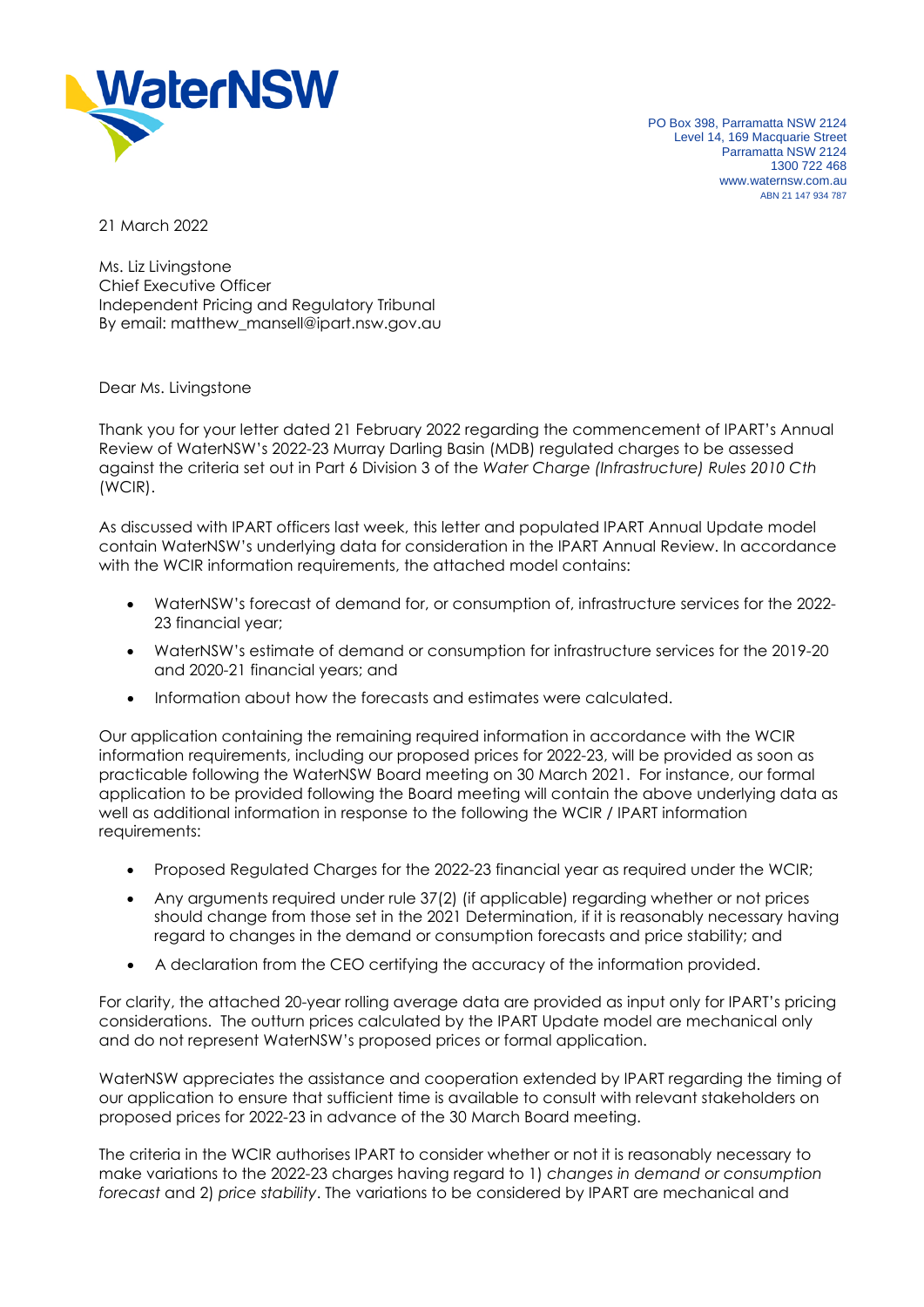

PO Box 398, Parramatta NSW 2124 Level 14, 169 Macquarie Street Parramatta NSW 2124 1300 722 468 www.waternsw.com.au ABN 21 147 934 787

21 March 2022

Ms. Liz Livingstone Chief Executive Officer Independent Pricing and Regulatory Tribunal By email: matthew\_mansell@ipart.nsw.gov.au

Dear Ms. Livingstone

Thank you for your letter dated 21 February 2022 regarding the commencement of IPART's Annual Review of WaterNSW's 2022-23 Murray Darling Basin (MDB) regulated charges to be assessed against the criteria set out in Part 6 Division 3 of the *Water Charge (Infrastructure) Rules 2010 Cth* (WCIR).

As discussed with IPART officers last week, this letter and populated IPART Annual Update model contain WaterNSW's underlying data for consideration in the IPART Annual Review. In accordance with the WCIR information requirements, the attached model contains:

- WaterNSW's forecast of demand for, or consumption of, infrastructure services for the 2022- 23 financial year;
- WaterNSW's estimate of demand or consumption for infrastructure services for the 2019-20 and 2020-21 financial years; and
- Information about how the forecasts and estimates were calculated.

Our application containing the remaining required information in accordance with the WCIR information requirements, including our proposed prices for 2022-23, will be provided as soon as practicable following the WaterNSW Board meeting on 30 March 2021. For instance, our formal application to be provided following the Board meeting will contain the above underlying data as well as additional information in response to the following the WCIR / IPART information requirements:

- Proposed Regulated Charges for the 2022-23 financial year as required under the WCIR;
- Any arguments required under rule 37(2) (if applicable) regarding whether or not prices should change from those set in the 2021 Determination, if it is reasonably necessary having regard to changes in the demand or consumption forecasts and price stability; and
- A declaration from the CEO certifying the accuracy of the information provided.

For clarity, the attached 20-year rolling average data are provided as input only for IPART's pricing considerations. The outturn prices calculated by the IPART Update model are mechanical only and do not represent WaterNSW's proposed prices or formal application.

WaterNSW appreciates the assistance and cooperation extended by IPART regarding the timing of our application to ensure that sufficient time is available to consult with relevant stakeholders on proposed prices for 2022-23 in advance of the 30 March Board meeting.

The criteria in the WCIR authorises IPART to consider whether or not it is reasonably necessary to make variations to the 2022-23 charges having regard to 1) *changes in demand or consumption forecast* and 2) *price stability*. The variations to be considered by IPART are mechanical and